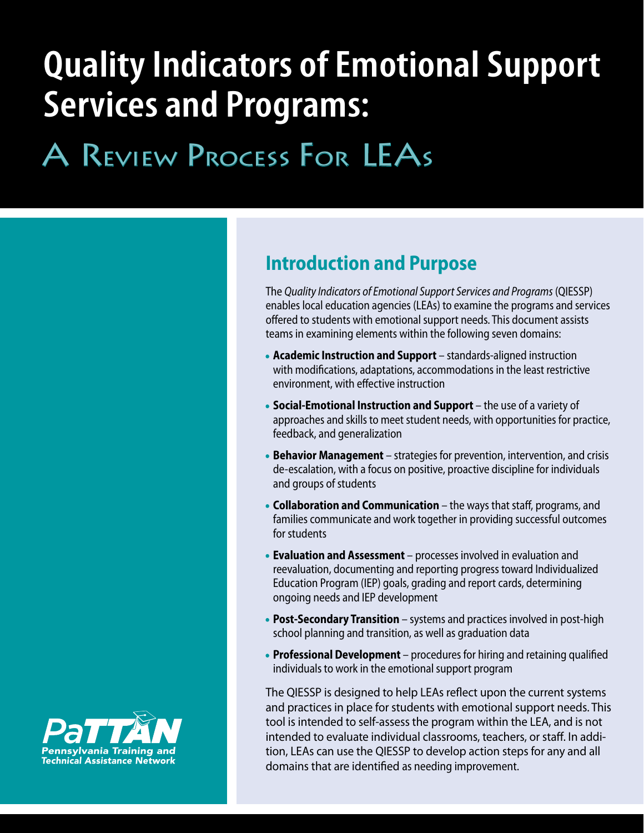# **Quality Indicators of Emotional Support Services and Programs:**

# A Review Process for LEAs

# **Introduction and Purpose**

The *Quality Indicators of Emotional Support Services and Programs* (QIESSP) enables local education agencies (LEAs) to examine the programs and services offered to students with emotional support needs. This document assists teams in examining elements within the following seven domains:

- **Academic Instruction and Support** standards-aligned instruction with modifications, adaptations, accommodations in the least restrictive environment, with effective instruction
- **Social-Emotional Instruction and Support**  the use of a variety of approaches and skills to meet student needs, with opportunities for practice, feedback, and generalization
- **Behavior Management** strategies for prevention, intervention, and crisis de-escalation, with a focus on positive, proactive discipline for individuals and groups of students
- **Collaboration and Communication** the ways that staff, programs, and families communicate and work together in providing successful outcomes for students
- **Evaluation and Assessment** processes involved in evaluation and reevaluation, documenting and reporting progress toward Individualized Education Program (IEP) goals, grading and report cards, determining ongoing needs and IEP development
- **Post-Secondary Transition** systems and practices involved in post-high school planning and transition, as well as graduation data
- **Professional Development**  procedures for hiring and retaining qualified individuals to work in the emotional support program

The QIESSP is designed to help LEAs reflect upon the current systems and practices in place for students with emotional support needs. This tool is intended to self-assess the program within the LEA, and is not intended to evaluate individual classrooms, teachers, or staff. In addition, LEAs can use the QIESSP to develop action steps for any and all domains that are identified as needing improvement.

1

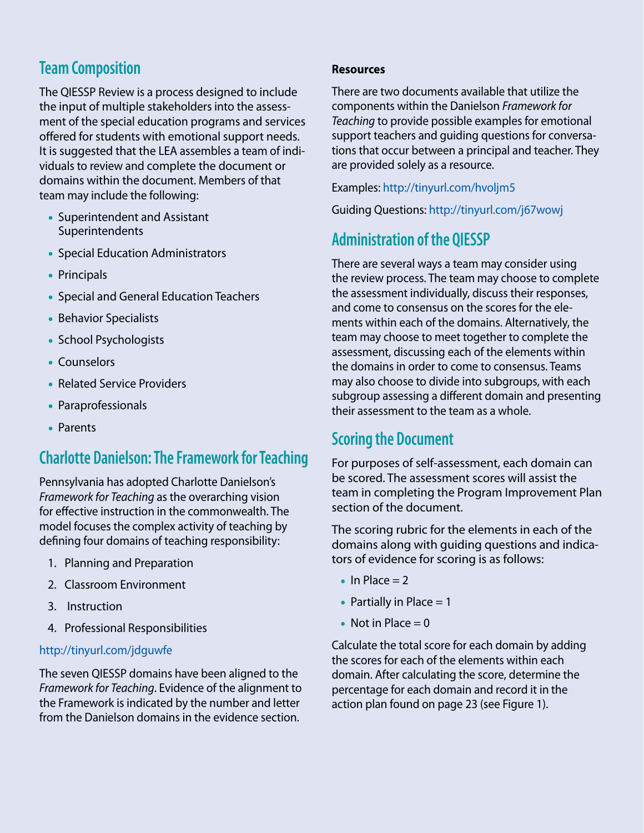## **Team Composition**

The QIESSP Review is a process designed to include the input of multiple stakeholders into the assessment of the special education programs and services offered for students with emotional support needs. It is suggested that the LEA assembles a team of individuals to review and complete the document or domains within the document. Members of that team may include the following:

- Superintendent and Assistant Superintendents
- Special Education Administrators
- Principals
- Special and General Education Teachers
- Behavior Specialists
- School Psychologists
- Counselors
- Related Service Providers
- Paraprofessionals
- Parents

## **Charlotte Danielson: The Framework for Teaching**

Pennsylvania has adopted Charlotte Danielson's *Framework for Teaching* as the overarching vision for effective instruction in the commonwealth. The model focuses the complex activity of teaching by defining four domains of teaching responsibility:

- 1. Planning and Preparation
- 2. Classroom Environment
- 3. Instruction
- 4. Professional Responsibilities

#### <http://tinyurl.com/jdguwfe>

The seven QIESSP domains have been aligned to the *Framework for Teaching*. Evidence of the alignment to the Framework is indicated by the number and letter from the Danielson domains in the evidence section.

#### **Resources**

There are two documents available that utilize the components within the Danielson *Framework for Teaching* to provide possible examples for emotional support teachers and guiding questions for conversations that occur between a principal and teacher. They are provided solely as a resource.

Examples: <http://tinyurl.com/hvoljm5>

Guiding Questions:<http://tinyurl.com/j67wowj>

## **Administration of the QIESSP**

There are several ways a team may consider using the review process. The team may choose to complete the assessment individually, discuss their responses, and come to consensus on the scores for the elements within each of the domains. Alternatively, the team may choose to meet together to complete the assessment, discussing each of the elements within the domains in order to come to consensus. Teams may also choose to divide into subgroups, with each subgroup assessing a different domain and presenting their assessment to the team as a whole.

### **Scoring the Document**

For purposes of self-assessment, each domain can be scored. The assessment scores will assist the team in completing the Program Improvement Plan section of the document.

The scoring rubric for the elements in each of the domains along with guiding questions and indicators of evidence for scoring is as follows:

- $\bullet$  In Place = 2
- Partially in Place  $= 1$
- Not in Place  $= 0$

Calculate the total score for each domain by adding the scores for each of the elements within each domain. After calculating the score, determine the percentage for each domain and record it in the action plan found on page 23 (see Figure 1).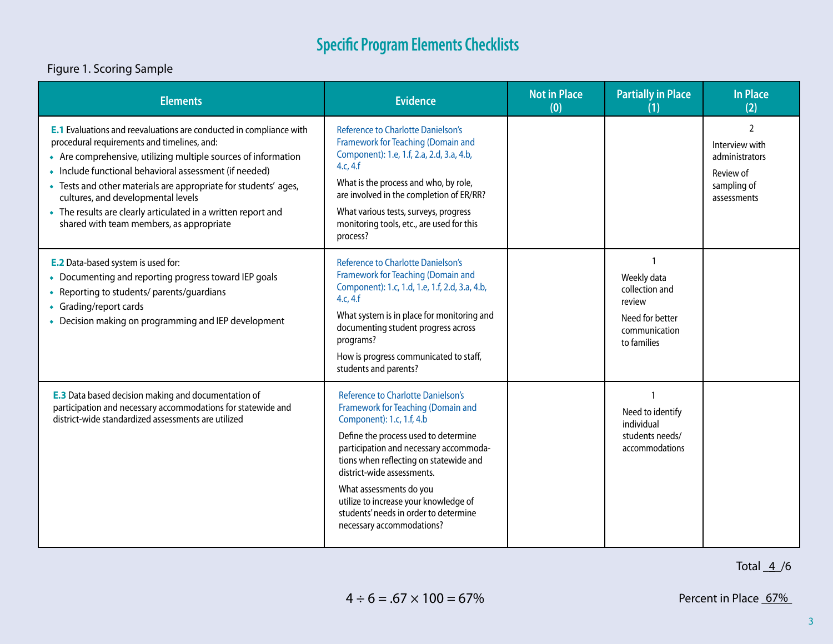#### Figure 1. Scoring Sample

| <b>Elements</b>                                                                                                                                                                                                                                                                                                                                                                                                                                                            | <b>Evidence</b>                                                                                                                                                                                                                                                                                                                                                                                                  | <b>Not in Place</b><br>(0) | <b>Partially in Place</b><br>(1)                                                           | <b>In Place</b><br>(2)                                                                       |
|----------------------------------------------------------------------------------------------------------------------------------------------------------------------------------------------------------------------------------------------------------------------------------------------------------------------------------------------------------------------------------------------------------------------------------------------------------------------------|------------------------------------------------------------------------------------------------------------------------------------------------------------------------------------------------------------------------------------------------------------------------------------------------------------------------------------------------------------------------------------------------------------------|----------------------------|--------------------------------------------------------------------------------------------|----------------------------------------------------------------------------------------------|
| <b>E.1</b> Evaluations and reevaluations are conducted in compliance with<br>procedural requirements and timelines, and:<br>• Are comprehensive, utilizing multiple sources of information<br>• Include functional behavioral assessment (if needed)<br>• Tests and other materials are appropriate for students' ages,<br>cultures, and developmental levels<br>• The results are clearly articulated in a written report and<br>shared with team members, as appropriate | <b>Reference to Charlotte Danielson's</b><br>Framework for Teaching (Domain and<br>Component): 1.e, 1.f, 2.a, 2.d, 3.a, 4.b,<br>4.c, 4.f<br>What is the process and who, by role,<br>are involved in the completion of ER/RR?<br>What various tests, surveys, progress<br>monitoring tools, etc., are used for this<br>process?                                                                                  |                            |                                                                                            | $\mathcal{L}$<br>Interview with<br>administrators<br>Review of<br>sampling of<br>assessments |
| <b>E.2</b> Data-based system is used for:<br>• Documenting and reporting progress toward IEP goals<br>• Reporting to students/parents/guardians<br>• Grading/report cards<br>• Decision making on programming and IEP development                                                                                                                                                                                                                                          | <b>Reference to Charlotte Danielson's</b><br>Framework for Teaching (Domain and<br>Component): 1.c, 1.d, 1.e, 1.f, 2.d, 3.a, 4.b,<br>4.c, 4.f<br>What system is in place for monitoring and<br>documenting student progress across<br>programs?<br>How is progress communicated to staff,<br>students and parents?                                                                                               |                            | Weekly data<br>collection and<br>review<br>Need for better<br>communication<br>to families |                                                                                              |
| <b>E.3</b> Data based decision making and documentation of<br>participation and necessary accommodations for statewide and<br>district-wide standardized assessments are utilized                                                                                                                                                                                                                                                                                          | <b>Reference to Charlotte Danielson's</b><br>Framework for Teaching (Domain and<br>Component): 1.c, 1.f, 4.b<br>Define the process used to determine<br>participation and necessary accommoda-<br>tions when reflecting on statewide and<br>district-wide assessments.<br>What assessments do you<br>utilize to increase your knowledge of<br>students' needs in order to determine<br>necessary accommodations? |                            | 1<br>Need to identify<br>individual<br>students needs/<br>accommodations                   |                                                                                              |

Total  $4/6$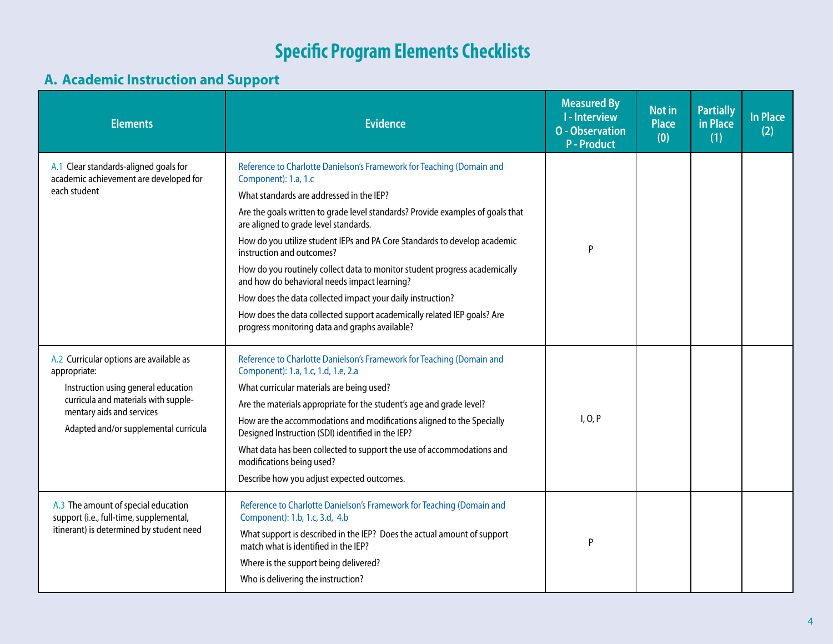#### **A. Academic Instruction and Support**

| <b>Elements</b>                                                                                                                                                                                              | <b>Evidence</b>                                                                                                                                                                                                                                                                                                                                                                                                                                                                                                                                                                                                                                                                                         | <b>Measured By</b><br><b>I-Interview</b><br><b>O</b> - Observation<br><b>P-Product</b> | <b>Not in</b><br><b>Place</b><br>(0) | <b>Partially</b><br>in Place<br>(1) | <b>In Place</b><br>(2) |
|--------------------------------------------------------------------------------------------------------------------------------------------------------------------------------------------------------------|---------------------------------------------------------------------------------------------------------------------------------------------------------------------------------------------------------------------------------------------------------------------------------------------------------------------------------------------------------------------------------------------------------------------------------------------------------------------------------------------------------------------------------------------------------------------------------------------------------------------------------------------------------------------------------------------------------|----------------------------------------------------------------------------------------|--------------------------------------|-------------------------------------|------------------------|
| A.1 Clear standards-aligned goals for<br>academic achievement are developed for<br>each student                                                                                                              | Reference to Charlotte Danielson's Framework for Teaching (Domain and<br>Component): 1.a, 1.c<br>What standards are addressed in the IEP?<br>Are the goals written to grade level standards? Provide examples of goals that<br>are aligned to grade level standards.<br>How do you utilize student IEPs and PA Core Standards to develop academic<br>instruction and outcomes?<br>How do you routinely collect data to monitor student progress academically<br>and how do behavioral needs impact learning?<br>How does the data collected impact your daily instruction?<br>How does the data collected support academically related IEP goals? Are<br>progress monitoring data and graphs available? | P                                                                                      |                                      |                                     |                        |
| A.2 Curricular options are available as<br>appropriate:<br>Instruction using general education<br>curricula and materials with supple-<br>mentary aids and services<br>Adapted and/or supplemental curricula | Reference to Charlotte Danielson's Framework for Teaching (Domain and<br>Component): 1.a, 1.c, 1.d, 1.e, 2.a<br>What curricular materials are being used?<br>Are the materials appropriate for the student's age and grade level?<br>How are the accommodations and modifications aligned to the Specially<br>Designed Instruction (SDI) identified in the IEP?<br>What data has been collected to support the use of accommodations and<br>modifications being used?<br>Describe how you adjust expected outcomes.                                                                                                                                                                                     | I, O, P                                                                                |                                      |                                     |                        |
| A.3 The amount of special education<br>support (i.e., full-time, supplemental,<br>itinerant) is determined by student need                                                                                   | Reference to Charlotte Danielson's Framework for Teaching (Domain and<br>Component): 1.b, 1.c, 3.d, 4.b<br>What support is described in the IEP? Does the actual amount of support<br>match what is identified in the IEP?<br>Where is the support being delivered?<br>Who is delivering the instruction?                                                                                                                                                                                                                                                                                                                                                                                               | P                                                                                      |                                      |                                     |                        |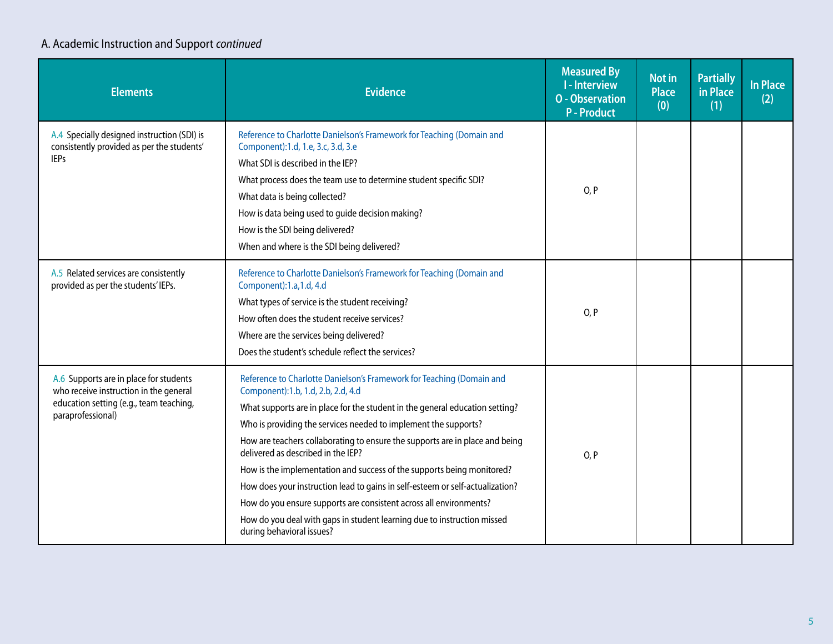### A. Academic Instruction and Support *continued*

| <b>Elements</b>                                                                                                                                  | <b>Evidence</b>                                                                                                                                                                                                                                                                                                                                                                                                                                                                                                                                                                                                                                                                                                               | <b>Measured By</b><br><b>I</b> - Interview<br><b>O</b> - Observation<br><b>P</b> - Product | Not in<br><b>Place</b><br>(0) | <b>Partially</b><br>in Place<br>(1) | In Place<br>(2) |
|--------------------------------------------------------------------------------------------------------------------------------------------------|-------------------------------------------------------------------------------------------------------------------------------------------------------------------------------------------------------------------------------------------------------------------------------------------------------------------------------------------------------------------------------------------------------------------------------------------------------------------------------------------------------------------------------------------------------------------------------------------------------------------------------------------------------------------------------------------------------------------------------|--------------------------------------------------------------------------------------------|-------------------------------|-------------------------------------|-----------------|
| A.4 Specially designed instruction (SDI) is<br>consistently provided as per the students'<br><b>IEPs</b>                                         | Reference to Charlotte Danielson's Framework for Teaching (Domain and<br>Component):1.d, 1.e, 3.c, 3.d, 3.e<br>What SDI is described in the IEP?<br>What process does the team use to determine student specific SDI?<br>What data is being collected?<br>How is data being used to guide decision making?<br>How is the SDI being delivered?<br>When and where is the SDI being delivered?                                                                                                                                                                                                                                                                                                                                   | O, P                                                                                       |                               |                                     |                 |
| A.5 Related services are consistently<br>provided as per the students' IEPs.                                                                     | Reference to Charlotte Danielson's Framework for Teaching (Domain and<br>Component):1.a,1.d, 4.d<br>What types of service is the student receiving?<br>How often does the student receive services?<br>Where are the services being delivered?<br>Does the student's schedule reflect the services?                                                                                                                                                                                                                                                                                                                                                                                                                           | O, P                                                                                       |                               |                                     |                 |
| A.6 Supports are in place for students<br>who receive instruction in the general<br>education setting (e.g., team teaching,<br>paraprofessional) | Reference to Charlotte Danielson's Framework for Teaching (Domain and<br>Component):1.b, 1.d, 2.b, 2.d, 4.d<br>What supports are in place for the student in the general education setting?<br>Who is providing the services needed to implement the supports?<br>How are teachers collaborating to ensure the supports are in place and being<br>delivered as described in the IEP?<br>How is the implementation and success of the supports being monitored?<br>How does your instruction lead to gains in self-esteem or self-actualization?<br>How do you ensure supports are consistent across all environments?<br>How do you deal with gaps in student learning due to instruction missed<br>during behavioral issues? | O, P                                                                                       |                               |                                     |                 |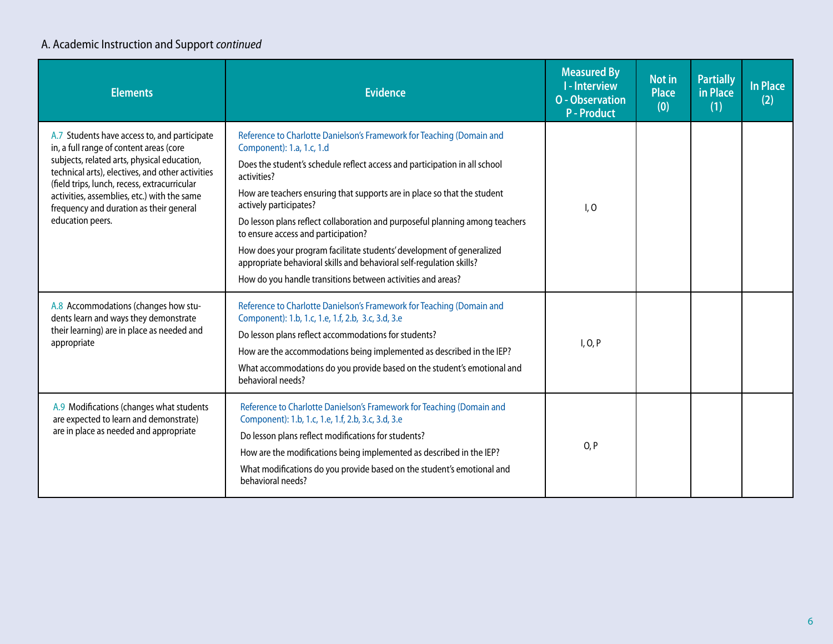### A. Academic Instruction and Support *continued*

| <b>Elements</b>                                                                                                                                                                                                                                                                                                                                          | <b>Evidence</b>                                                                                                                                                                                                                                                                                                                                                                                                                                                                                                                                                                                                                              | <b>Measured By</b><br><b>I-Interview</b><br><b>O</b> - Observation<br><b>P</b> - Product | Not in<br><b>Place</b><br>(0) | <b>Partially</b><br>in Place<br>(1) | <b>In Place</b><br>(2) |
|----------------------------------------------------------------------------------------------------------------------------------------------------------------------------------------------------------------------------------------------------------------------------------------------------------------------------------------------------------|----------------------------------------------------------------------------------------------------------------------------------------------------------------------------------------------------------------------------------------------------------------------------------------------------------------------------------------------------------------------------------------------------------------------------------------------------------------------------------------------------------------------------------------------------------------------------------------------------------------------------------------------|------------------------------------------------------------------------------------------|-------------------------------|-------------------------------------|------------------------|
| A.7 Students have access to, and participate<br>in, a full range of content areas (core<br>subjects, related arts, physical education,<br>technical arts), electives, and other activities<br>(field trips, lunch, recess, extracurricular<br>activities, assemblies, etc.) with the same<br>frequency and duration as their general<br>education peers. | Reference to Charlotte Danielson's Framework for Teaching (Domain and<br>Component): 1.a, 1.c, 1.d<br>Does the student's schedule reflect access and participation in all school<br>activities?<br>How are teachers ensuring that supports are in place so that the student<br>actively participates?<br>Do lesson plans reflect collaboration and purposeful planning among teachers<br>to ensure access and participation?<br>How does your program facilitate students' development of generalized<br>appropriate behavioral skills and behavioral self-regulation skills?<br>How do you handle transitions between activities and areas? | I, O                                                                                     |                               |                                     |                        |
| A.8 Accommodations (changes how stu-<br>dents learn and ways they demonstrate<br>their learning) are in place as needed and<br>appropriate                                                                                                                                                                                                               | Reference to Charlotte Danielson's Framework for Teaching (Domain and<br>Component): 1.b, 1.c, 1.e, 1.f, 2.b, 3.c, 3.d, 3.e<br>Do lesson plans reflect accommodations for students?<br>How are the accommodations being implemented as described in the IEP?<br>What accommodations do you provide based on the student's emotional and<br>behavioral needs?                                                                                                                                                                                                                                                                                 | I, O, P                                                                                  |                               |                                     |                        |
| A.9 Modifications (changes what students<br>are expected to learn and demonstrate)<br>are in place as needed and appropriate                                                                                                                                                                                                                             | Reference to Charlotte Danielson's Framework for Teaching (Domain and<br>Component): 1.b, 1.c, 1.e, 1.f, 2.b, 3.c, 3.d, 3.e<br>Do lesson plans reflect modifications for students?<br>How are the modifications being implemented as described in the IEP?<br>What modifications do you provide based on the student's emotional and<br>behavioral needs?                                                                                                                                                                                                                                                                                    | O, P                                                                                     |                               |                                     |                        |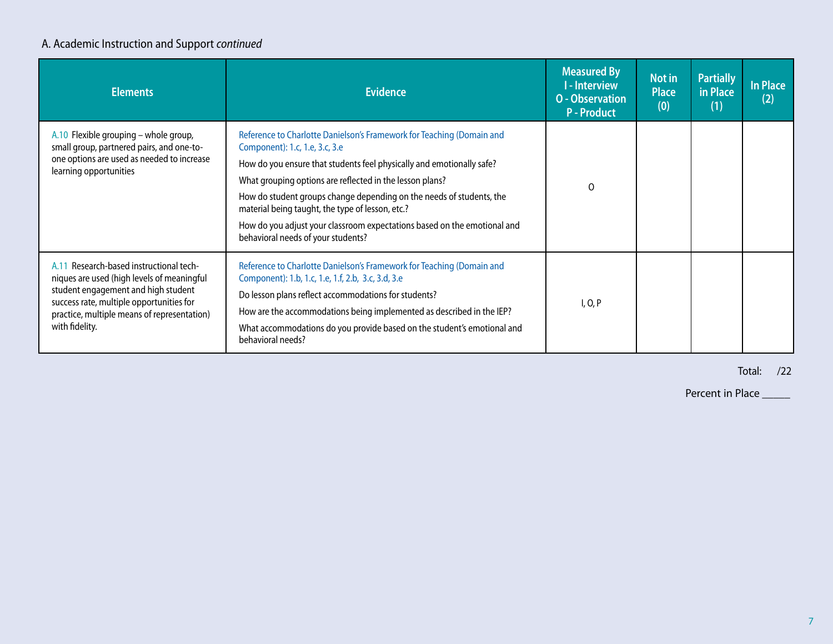### A. Academic Instruction and Support *continued*

| <b>Elements</b>                                                                                                                                                                                                                           | <b>Evidence</b>                                                                                                                                                                                                                                                                                                                                                                                                                                                                            | <b>Measured By</b><br>- Interview<br><b>O</b> - Observation<br><b>P</b> - Product | Not in<br><b>Place</b><br>(0) | <b>Partially</b><br>in Place<br>(1) | In Place<br>(2) |
|-------------------------------------------------------------------------------------------------------------------------------------------------------------------------------------------------------------------------------------------|--------------------------------------------------------------------------------------------------------------------------------------------------------------------------------------------------------------------------------------------------------------------------------------------------------------------------------------------------------------------------------------------------------------------------------------------------------------------------------------------|-----------------------------------------------------------------------------------|-------------------------------|-------------------------------------|-----------------|
| A.10 Flexible grouping – whole group,<br>small group, partnered pairs, and one-to-<br>one options are used as needed to increase<br>learning opportunities                                                                                | Reference to Charlotte Danielson's Framework for Teaching (Domain and<br>Component): 1.c, 1.e, 3.c, 3.e<br>How do you ensure that students feel physically and emotionally safe?<br>What grouping options are reflected in the lesson plans?<br>How do student groups change depending on the needs of students, the<br>material being taught, the type of lesson, etc.?<br>How do you adjust your classroom expectations based on the emotional and<br>behavioral needs of your students? | $\Omega$                                                                          |                               |                                     |                 |
| A.11 Research-based instructional tech-<br>niques are used (high levels of meaningful<br>student engagement and high student<br>success rate, multiple opportunities for<br>practice, multiple means of representation)<br>with fidelity. | Reference to Charlotte Danielson's Framework for Teaching (Domain and<br>Component): 1.b, 1.c, 1.e, 1.f, 2.b, 3.c, 3.d, 3.e<br>Do lesson plans reflect accommodations for students?<br>How are the accommodations being implemented as described in the IEP?<br>What accommodations do you provide based on the student's emotional and<br>behavioral needs?                                                                                                                               | I, O, P                                                                           |                               |                                     |                 |

Total: /22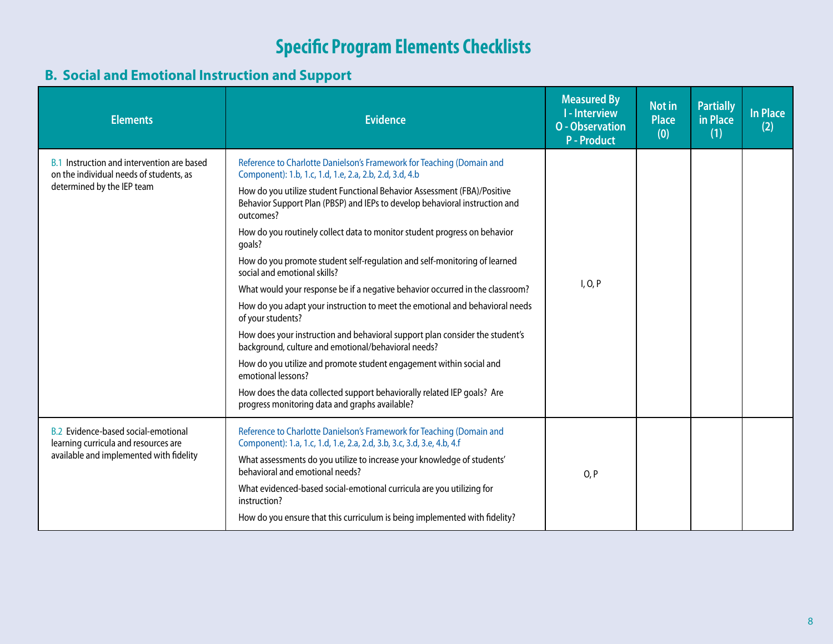#### **B. Social and Emotional Instruction and Support**

| <b>Elements</b>                                                                                                               | <b>Evidence</b>                                                                                                                                                                                                                                                                                                                                                                                                                                                                                                                                                                                                                                                                                                                                                                                                                                                                                                                                                                                                                                                     | <b>Measured By</b><br><b>I</b> - Interview<br><b>O</b> - Observation<br><b>P</b> - Product | <b>Not in</b><br><b>Place</b><br>(0) | <b>Partially</b><br>in Place<br>(1) | <b>In Place</b><br>(2) |
|-------------------------------------------------------------------------------------------------------------------------------|---------------------------------------------------------------------------------------------------------------------------------------------------------------------------------------------------------------------------------------------------------------------------------------------------------------------------------------------------------------------------------------------------------------------------------------------------------------------------------------------------------------------------------------------------------------------------------------------------------------------------------------------------------------------------------------------------------------------------------------------------------------------------------------------------------------------------------------------------------------------------------------------------------------------------------------------------------------------------------------------------------------------------------------------------------------------|--------------------------------------------------------------------------------------------|--------------------------------------|-------------------------------------|------------------------|
| <b>B.1</b> Instruction and intervention are based<br>on the individual needs of students, as<br>determined by the IEP team    | Reference to Charlotte Danielson's Framework for Teaching (Domain and<br>Component): 1.b, 1.c, 1.d, 1.e, 2.a, 2.b, 2.d, 3.d, 4.b<br>How do you utilize student Functional Behavior Assessment (FBA)/Positive<br>Behavior Support Plan (PBSP) and IEPs to develop behavioral instruction and<br>outcomes?<br>How do you routinely collect data to monitor student progress on behavior<br>qoals?<br>How do you promote student self-regulation and self-monitoring of learned<br>social and emotional skills?<br>What would your response be if a negative behavior occurred in the classroom?<br>How do you adapt your instruction to meet the emotional and behavioral needs<br>of your students?<br>How does your instruction and behavioral support plan consider the student's<br>background, culture and emotional/behavioral needs?<br>How do you utilize and promote student engagement within social and<br>emotional lessons?<br>How does the data collected support behaviorally related IEP goals? Are<br>progress monitoring data and graphs available? | I, O, P                                                                                    |                                      |                                     |                        |
| <b>B.2</b> Evidence-based social-emotional<br>learning curricula and resources are<br>available and implemented with fidelity | Reference to Charlotte Danielson's Framework for Teaching (Domain and<br>Component): 1.a, 1.c, 1.d, 1.e, 2.a, 2.d, 3.b, 3.c, 3.d, 3.e, 4.b, 4.f<br>What assessments do you utilize to increase your knowledge of students'<br>behavioral and emotional needs?<br>What evidenced-based social-emotional curricula are you utilizing for<br>instruction?<br>How do you ensure that this curriculum is being implemented with fidelity?                                                                                                                                                                                                                                                                                                                                                                                                                                                                                                                                                                                                                                | O, P                                                                                       |                                      |                                     |                        |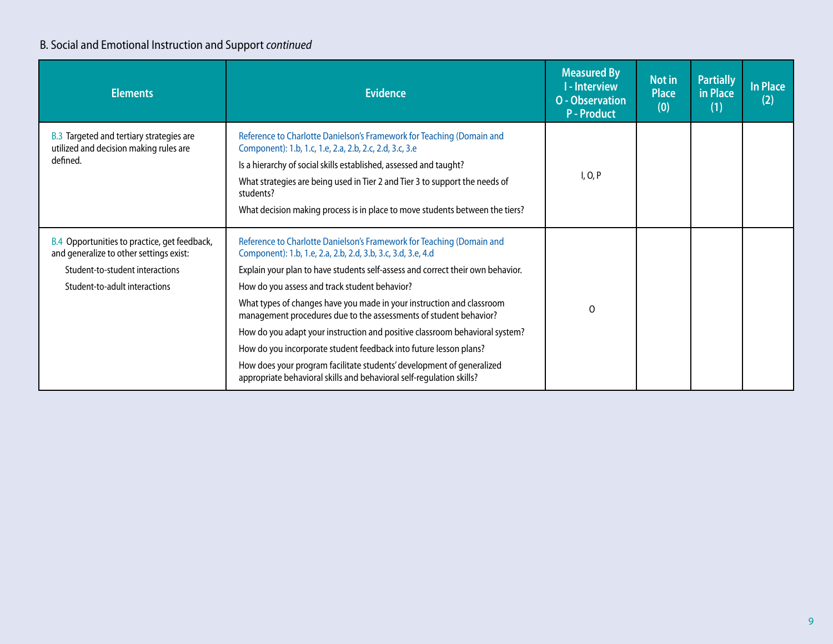### B. Social and Emotional Instruction and Support *continued*

| <b>Elements</b>                                                                                       | <b>Evidence</b>                                                                                                                                                                                                                                                                                                                                                                   | <b>Measured By</b><br><b>I-Interview</b><br><b>O</b> - Observation<br><b>P</b> - Product | Not in<br><b>Place</b><br>(0) | <b>Partially</b><br>in Place<br>(1) | <b>In Place</b><br>(2) |
|-------------------------------------------------------------------------------------------------------|-----------------------------------------------------------------------------------------------------------------------------------------------------------------------------------------------------------------------------------------------------------------------------------------------------------------------------------------------------------------------------------|------------------------------------------------------------------------------------------|-------------------------------|-------------------------------------|------------------------|
| <b>B.3</b> Targeted and tertiary strategies are<br>utilized and decision making rules are<br>defined. | Reference to Charlotte Danielson's Framework for Teaching (Domain and<br>Component): 1.b, 1.c, 1.e, 2.a, 2.b, 2.c, 2.d, 3.c, 3.e<br>Is a hierarchy of social skills established, assessed and taught?<br>What strategies are being used in Tier 2 and Tier 3 to support the needs of<br>students?<br>What decision making process is in place to move students between the tiers? | I, O, P                                                                                  |                               |                                     |                        |
| B.4 Opportunities to practice, get feedback,<br>and generalize to other settings exist:               | Reference to Charlotte Danielson's Framework for Teaching (Domain and<br>Component): 1.b, 1.e, 2.a, 2.b, 2.d, 3.b, 3.c, 3.d, 3.e, 4.d                                                                                                                                                                                                                                             |                                                                                          |                               |                                     |                        |
| Student-to-student interactions                                                                       | Explain your plan to have students self-assess and correct their own behavior.                                                                                                                                                                                                                                                                                                    |                                                                                          |                               |                                     |                        |
| Student-to-adult interactions                                                                         | How do you assess and track student behavior?                                                                                                                                                                                                                                                                                                                                     |                                                                                          |                               |                                     |                        |
|                                                                                                       | What types of changes have you made in your instruction and classroom<br>management procedures due to the assessments of student behavior?                                                                                                                                                                                                                                        | $\Omega$                                                                                 |                               |                                     |                        |
|                                                                                                       | How do you adapt your instruction and positive classroom behavioral system?                                                                                                                                                                                                                                                                                                       |                                                                                          |                               |                                     |                        |
|                                                                                                       | How do you incorporate student feedback into future lesson plans?                                                                                                                                                                                                                                                                                                                 |                                                                                          |                               |                                     |                        |
|                                                                                                       | How does your program facilitate students' development of generalized<br>appropriate behavioral skills and behavioral self-regulation skills?                                                                                                                                                                                                                                     |                                                                                          |                               |                                     |                        |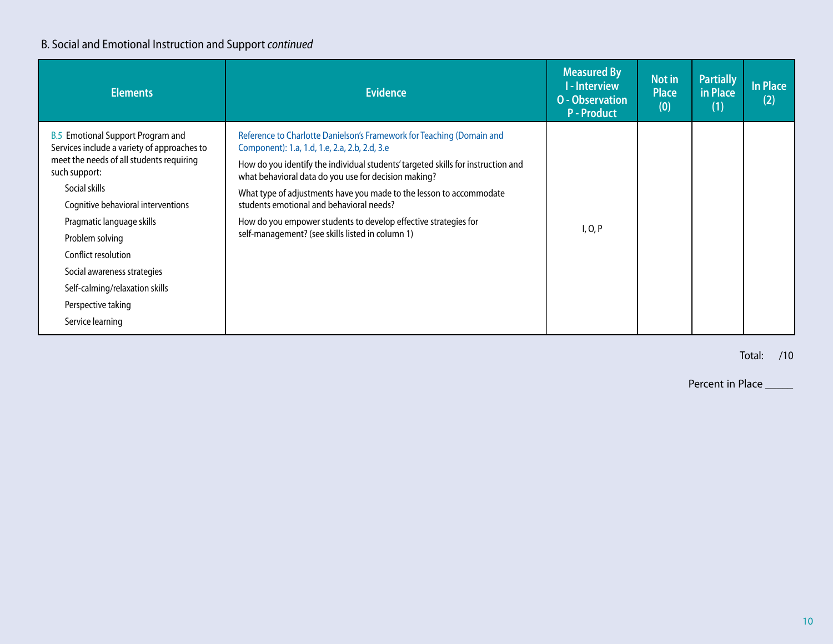### B. Social and Emotional Instruction and Support *continued*

| <b>Elements</b>                                                                                                                                                                                                                                                                                                                                                                               | <b>Evidence</b>                                                                                                                                                                                                                                                                                                                                                                                                                                                                                              | <b>Measured By</b><br><b>I-Interview</b><br><b>O</b> - Observation<br><b>P-Product</b> | Not in<br><b>Place</b><br>(0) | <b>Partially</b><br>in Place<br>(1) | In Place<br>(2) |
|-----------------------------------------------------------------------------------------------------------------------------------------------------------------------------------------------------------------------------------------------------------------------------------------------------------------------------------------------------------------------------------------------|--------------------------------------------------------------------------------------------------------------------------------------------------------------------------------------------------------------------------------------------------------------------------------------------------------------------------------------------------------------------------------------------------------------------------------------------------------------------------------------------------------------|----------------------------------------------------------------------------------------|-------------------------------|-------------------------------------|-----------------|
| <b>B.5</b> Emotional Support Program and<br>Services include a variety of approaches to<br>meet the needs of all students requiring<br>such support:<br>Social skills<br>Cognitive behavioral interventions<br>Pragmatic language skills<br>Problem solving<br>Conflict resolution<br>Social awareness strategies<br>Self-calming/relaxation skills<br>Perspective taking<br>Service learning | Reference to Charlotte Danielson's Framework for Teaching (Domain and<br>Component): 1.a, 1.d, 1.e, 2.a, 2.b, 2.d, 3.e<br>How do you identify the individual students' targeted skills for instruction and<br>what behavioral data do you use for decision making?<br>What type of adjustments have you made to the lesson to accommodate<br>students emotional and behavioral needs?<br>How do you empower students to develop effective strategies for<br>self-management? (see skills listed in column 1) | I, O, P                                                                                |                               |                                     |                 |

Total: /10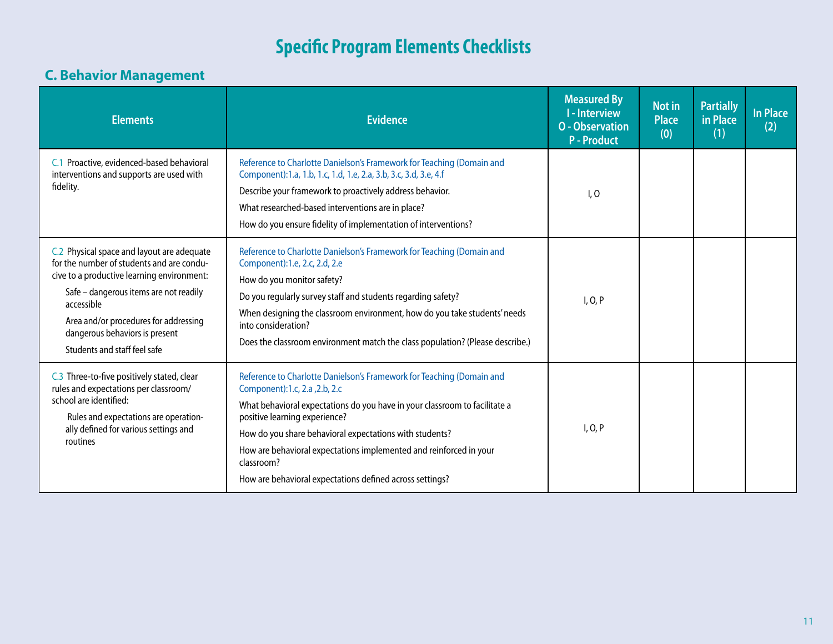### **C. Behavior Management**

| <b>Elements</b>                                                                                                                                                                                                                                                                                          | <b>Evidence</b>                                                                                                                                                                                                                                                                                                                                                                                                                  | <b>Measured By</b><br><b>I-Interview</b><br><b>O</b> - Observation<br><b>P</b> - Product | <b>Not in</b><br><b>Place</b><br>(0) | <b>Partially</b><br>in Place<br>(1) | In Place<br>(2) |
|----------------------------------------------------------------------------------------------------------------------------------------------------------------------------------------------------------------------------------------------------------------------------------------------------------|----------------------------------------------------------------------------------------------------------------------------------------------------------------------------------------------------------------------------------------------------------------------------------------------------------------------------------------------------------------------------------------------------------------------------------|------------------------------------------------------------------------------------------|--------------------------------------|-------------------------------------|-----------------|
| C.1 Proactive, evidenced-based behavioral<br>interventions and supports are used with<br>fidelity.                                                                                                                                                                                                       | Reference to Charlotte Danielson's Framework for Teaching (Domain and<br>Component):1.a, 1.b, 1.c, 1.d, 1.e, 2.a, 3.b, 3.c, 3.d, 3.e, 4.f<br>Describe your framework to proactively address behavior.<br>What researched-based interventions are in place?<br>How do you ensure fidelity of implementation of interventions?                                                                                                     | I, O                                                                                     |                                      |                                     |                 |
| C.2 Physical space and layout are adequate<br>for the number of students and are condu-<br>cive to a productive learning environment:<br>Safe - dangerous items are not readily<br>accessible<br>Area and/or procedures for addressing<br>dangerous behaviors is present<br>Students and staff feel safe | Reference to Charlotte Danielson's Framework for Teaching (Domain and<br>Component):1.e, 2.c, 2.d, 2.e<br>How do you monitor safety?<br>Do you regularly survey staff and students regarding safety?<br>When designing the classroom environment, how do you take students' needs<br>into consideration?<br>Does the classroom environment match the class population? (Please describe.)                                        | I, O, P                                                                                  |                                      |                                     |                 |
| C.3 Three-to-five positively stated, clear<br>rules and expectations per classroom/<br>school are identified:<br>Rules and expectations are operation-<br>ally defined for various settings and<br>routines                                                                                              | Reference to Charlotte Danielson's Framework for Teaching (Domain and<br>Component):1.c, 2.a, 2.b, 2.c<br>What behavioral expectations do you have in your classroom to facilitate a<br>positive learning experience?<br>How do you share behavioral expectations with students?<br>How are behavioral expectations implemented and reinforced in your<br>classroom?<br>How are behavioral expectations defined across settings? | I, O, P                                                                                  |                                      |                                     |                 |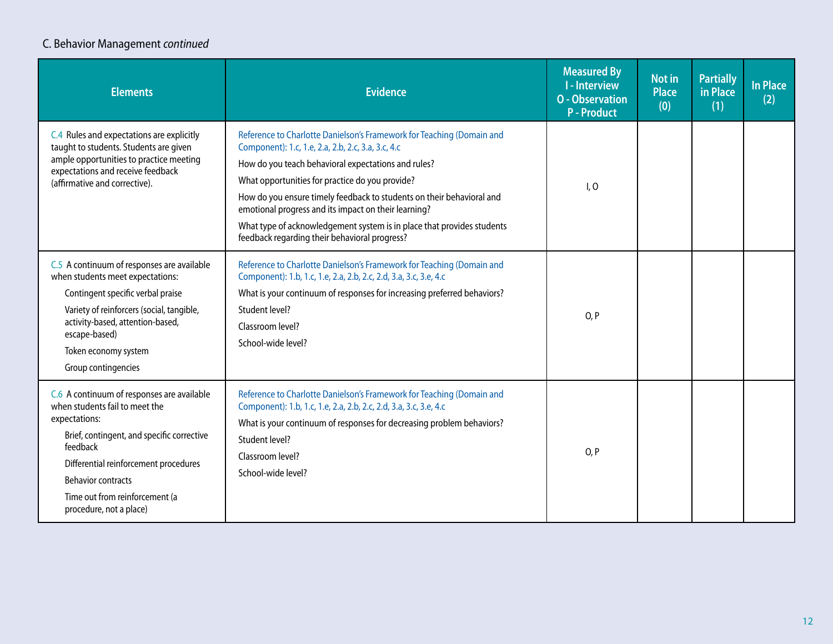### C. Behavior Management *continued*

| <b>Elements</b>                                                                                                                                                                                                                                                                            | <b>Evidence</b>                                                                                                                                                                                                                                                                                                                                                                                                                                                                                   | <b>Measured By</b><br><b>I-Interview</b><br><b>O</b> - Observation<br><b>P</b> - Product | <b>Not in</b><br><b>Place</b><br>(0) | <b>Partially</b><br>in Place<br>(1) | <b>In Place</b><br>(2) |
|--------------------------------------------------------------------------------------------------------------------------------------------------------------------------------------------------------------------------------------------------------------------------------------------|---------------------------------------------------------------------------------------------------------------------------------------------------------------------------------------------------------------------------------------------------------------------------------------------------------------------------------------------------------------------------------------------------------------------------------------------------------------------------------------------------|------------------------------------------------------------------------------------------|--------------------------------------|-------------------------------------|------------------------|
| C.4 Rules and expectations are explicitly<br>taught to students. Students are given<br>ample opportunities to practice meeting<br>expectations and receive feedback<br>(affirmative and corrective).                                                                                       | Reference to Charlotte Danielson's Framework for Teaching (Domain and<br>Component): 1.c, 1.e, 2.a, 2.b, 2.c, 3.a, 3.c, 4.c<br>How do you teach behavioral expectations and rules?<br>What opportunities for practice do you provide?<br>How do you ensure timely feedback to students on their behavioral and<br>emotional progress and its impact on their learning?<br>What type of acknowledgement system is in place that provides students<br>feedback regarding their behavioral progress? | I, O                                                                                     |                                      |                                     |                        |
| C.5 A continuum of responses are available<br>when students meet expectations:<br>Contingent specific verbal praise<br>Variety of reinforcers (social, tangible,<br>activity-based, attention-based,<br>escape-based)<br>Token economy system<br>Group contingencies                       | Reference to Charlotte Danielson's Framework for Teaching (Domain and<br>Component): 1.b, 1.c, 1.e, 2.a, 2.b, 2.c, 2.d, 3.a, 3.c, 3.e, 4.c<br>What is your continuum of responses for increasing preferred behaviors?<br>Student level?<br>Classroom level?<br>School-wide level?                                                                                                                                                                                                                 | O, P                                                                                     |                                      |                                     |                        |
| C.6 A continuum of responses are available<br>when students fail to meet the<br>expectations:<br>Brief, contingent, and specific corrective<br>feedback<br>Differential reinforcement procedures<br><b>Behavior contracts</b><br>Time out from reinforcement (a<br>procedure, not a place) | Reference to Charlotte Danielson's Framework for Teaching (Domain and<br>Component): 1.b, 1.c, 1.e, 2.a, 2.b, 2.c, 2.d, 3.a, 3.c, 3.e, 4.c<br>What is your continuum of responses for decreasing problem behaviors?<br>Student level?<br>Classroom level?<br>School-wide level?                                                                                                                                                                                                                   | O, P                                                                                     |                                      |                                     |                        |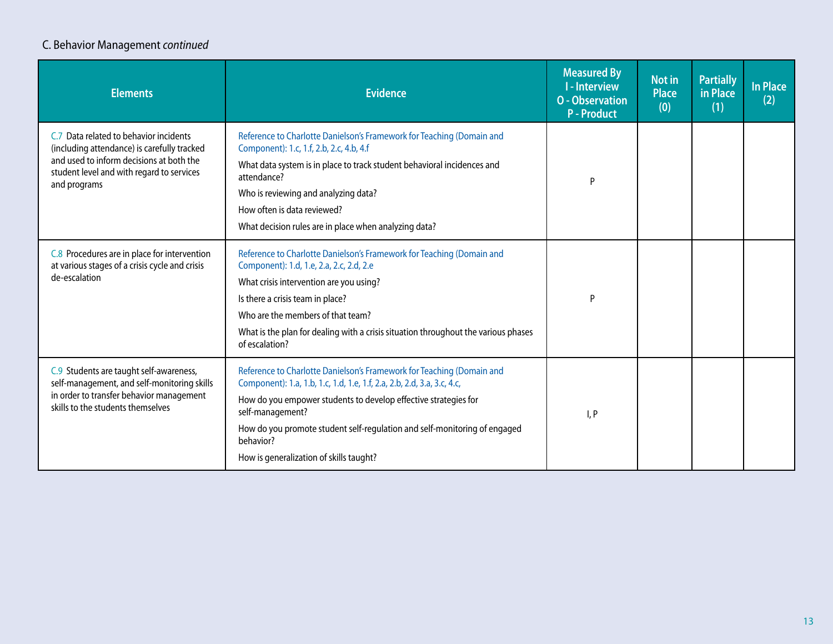### C. Behavior Management *continued*

| <b>Elements</b>                                                                                                                                                                                | <b>Evidence</b>                                                                                                                                                                                                                                                                                                                                                              | <b>Measured By</b><br><b>I-Interview</b><br><b>O</b> - Observation<br><b>P</b> - Product | Not in<br><b>Place</b><br>(0) | <b>Partially</b><br>in Place<br>(1) | <b>In Place</b><br>(2) |
|------------------------------------------------------------------------------------------------------------------------------------------------------------------------------------------------|------------------------------------------------------------------------------------------------------------------------------------------------------------------------------------------------------------------------------------------------------------------------------------------------------------------------------------------------------------------------------|------------------------------------------------------------------------------------------|-------------------------------|-------------------------------------|------------------------|
| C.7 Data related to behavior incidents<br>(including attendance) is carefully tracked<br>and used to inform decisions at both the<br>student level and with regard to services<br>and programs | Reference to Charlotte Danielson's Framework for Teaching (Domain and<br>Component): 1.c, 1.f, 2.b, 2.c, 4.b, 4.f<br>What data system is in place to track student behavioral incidences and<br>attendance?<br>Who is reviewing and analyzing data?<br>How often is data reviewed?<br>What decision rules are in place when analyzing data?                                  | P                                                                                        |                               |                                     |                        |
| C.8 Procedures are in place for intervention<br>at various stages of a crisis cycle and crisis<br>de-escalation                                                                                | Reference to Charlotte Danielson's Framework for Teaching (Domain and<br>Component): 1.d, 1.e, 2.a, 2.c, 2.d, 2.e<br>What crisis intervention are you using?<br>Is there a crisis team in place?<br>Who are the members of that team?<br>What is the plan for dealing with a crisis situation throughout the various phases<br>of escalation?                                | P                                                                                        |                               |                                     |                        |
| C.9 Students are taught self-awareness,<br>self-management, and self-monitoring skills<br>in order to transfer behavior management<br>skills to the students themselves                        | Reference to Charlotte Danielson's Framework for Teaching (Domain and<br>Component): 1.a, 1.b, 1.c, 1.d, 1.e, 1.f, 2.a, 2.b, 2.d, 3.a, 3.c, 4.c,<br>How do you empower students to develop effective strategies for<br>self-management?<br>How do you promote student self-regulation and self-monitoring of engaged<br>behavior?<br>How is generalization of skills taught? | I, P                                                                                     |                               |                                     |                        |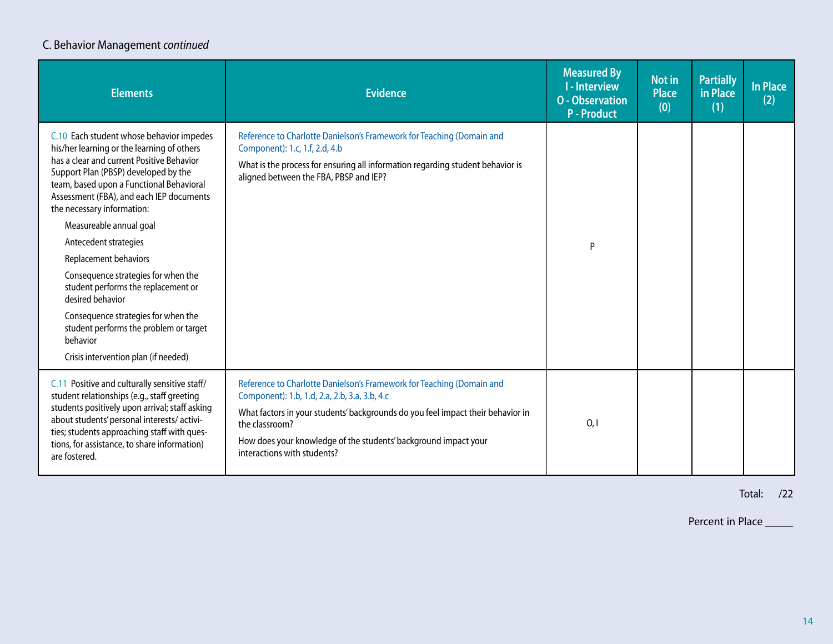#### C. Behavior Management *continued*

| <b>Elements</b>                                                                                                                                                                                                                                                                                                                                                                                                                                                                                                                                                                                                       | <b>Evidence</b>                                                                                                                                                                                                                                                                                                               | <b>Measured By</b><br><b>I</b> - Interview<br><b>O</b> - Observation<br><b>P-Product</b> | <b>Not in</b><br><b>Place</b><br>(0) | <b>Partially</b><br>in Place<br>(1) | <b>In Place</b><br>(2) |
|-----------------------------------------------------------------------------------------------------------------------------------------------------------------------------------------------------------------------------------------------------------------------------------------------------------------------------------------------------------------------------------------------------------------------------------------------------------------------------------------------------------------------------------------------------------------------------------------------------------------------|-------------------------------------------------------------------------------------------------------------------------------------------------------------------------------------------------------------------------------------------------------------------------------------------------------------------------------|------------------------------------------------------------------------------------------|--------------------------------------|-------------------------------------|------------------------|
| C.10 Each student whose behavior impedes<br>his/her learning or the learning of others<br>has a clear and current Positive Behavior<br>Support Plan (PBSP) developed by the<br>team, based upon a Functional Behavioral<br>Assessment (FBA), and each IEP documents<br>the necessary information:<br>Measureable annual goal<br>Antecedent strategies<br>Replacement behaviors<br>Consequence strategies for when the<br>student performs the replacement or<br>desired behavior<br>Consequence strategies for when the<br>student performs the problem or target<br>behavior<br>Crisis intervention plan (if needed) | Reference to Charlotte Danielson's Framework for Teaching (Domain and<br>Component): 1.c, 1.f, 2.d, 4.b<br>What is the process for ensuring all information regarding student behavior is<br>aligned between the FBA, PBSP and IEP?                                                                                           | P                                                                                        |                                      |                                     |                        |
| C.11 Positive and culturally sensitive staff/<br>student relationships (e.g., staff greeting<br>students positively upon arrival; staff asking<br>about students' personal interests/activi-<br>ties; students approaching staff with ques-<br>tions, for assistance, to share information)<br>are fostered.                                                                                                                                                                                                                                                                                                          | Reference to Charlotte Danielson's Framework for Teaching (Domain and<br>Component): 1.b, 1.d, 2.a, 2.b, 3.a, 3.b, 4.c<br>What factors in your students' backgrounds do you feel impact their behavior in<br>the classroom?<br>How does your knowledge of the students' background impact your<br>interactions with students? | 0,1                                                                                      |                                      |                                     |                        |

Total: /22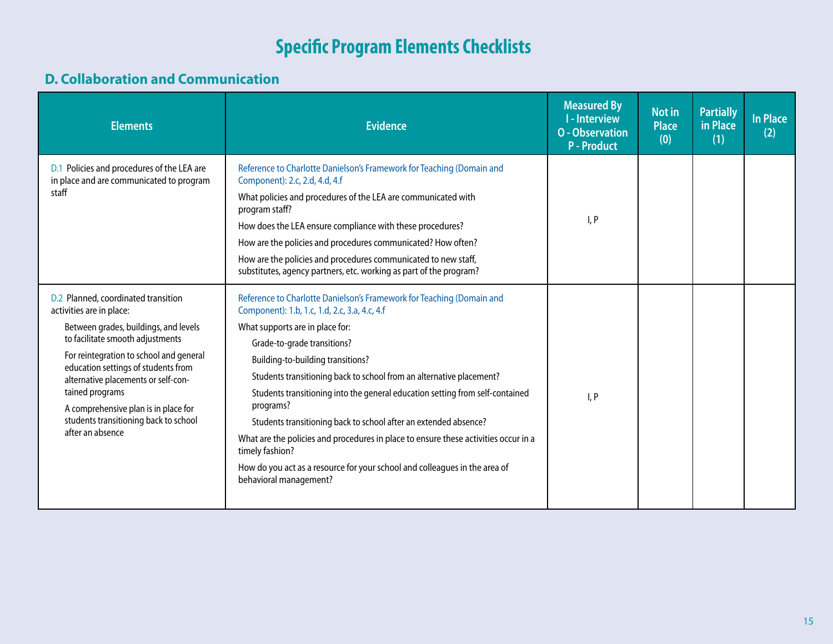#### **D. Collaboration and Communication**

| <b>Elements</b>                                                                                                                                                                                                                                                                                                                                                                               | <b>Evidence</b>                                                                                                                                                                                                                                                                                                                                                                                                                                                                                                                                                                                                                                                                           | <b>Measured By</b><br><b>I-Interview</b><br><b>O</b> - Observation<br><b>P</b> - Product | <b>Not in</b><br><b>Place</b><br>(0) | <b>Partially</b><br>in Place<br>(1) | <b>In Place</b><br>(2) |
|-----------------------------------------------------------------------------------------------------------------------------------------------------------------------------------------------------------------------------------------------------------------------------------------------------------------------------------------------------------------------------------------------|-------------------------------------------------------------------------------------------------------------------------------------------------------------------------------------------------------------------------------------------------------------------------------------------------------------------------------------------------------------------------------------------------------------------------------------------------------------------------------------------------------------------------------------------------------------------------------------------------------------------------------------------------------------------------------------------|------------------------------------------------------------------------------------------|--------------------------------------|-------------------------------------|------------------------|
| D.1 Policies and procedures of the LEA are<br>in place and are communicated to program<br>staff                                                                                                                                                                                                                                                                                               | Reference to Charlotte Danielson's Framework for Teaching (Domain and<br>Component): 2.c, 2.d, 4.d, 4.f<br>What policies and procedures of the LEA are communicated with<br>program staff?<br>How does the LEA ensure compliance with these procedures?<br>How are the policies and procedures communicated? How often?<br>How are the policies and procedures communicated to new staff,<br>substitutes, agency partners, etc. working as part of the program?                                                                                                                                                                                                                           | I, P                                                                                     |                                      |                                     |                        |
| D.2 Planned, coordinated transition<br>activities are in place:<br>Between grades, buildings, and levels<br>to facilitate smooth adjustments<br>For reintegration to school and general<br>education settings of students from<br>alternative placements or self-con-<br>tained programs<br>A comprehensive plan is in place for<br>students transitioning back to school<br>after an absence | Reference to Charlotte Danielson's Framework for Teaching (Domain and<br>Component): 1.b, 1.c, 1.d, 2.c, 3.a, 4.c, 4.f<br>What supports are in place for:<br>Grade-to-grade transitions?<br>Building-to-building transitions?<br>Students transitioning back to school from an alternative placement?<br>Students transitioning into the general education setting from self-contained<br>programs?<br>Students transitioning back to school after an extended absence?<br>What are the policies and procedures in place to ensure these activities occur in a<br>timely fashion?<br>How do you act as a resource for your school and colleagues in the area of<br>behavioral management? | I, P                                                                                     |                                      |                                     |                        |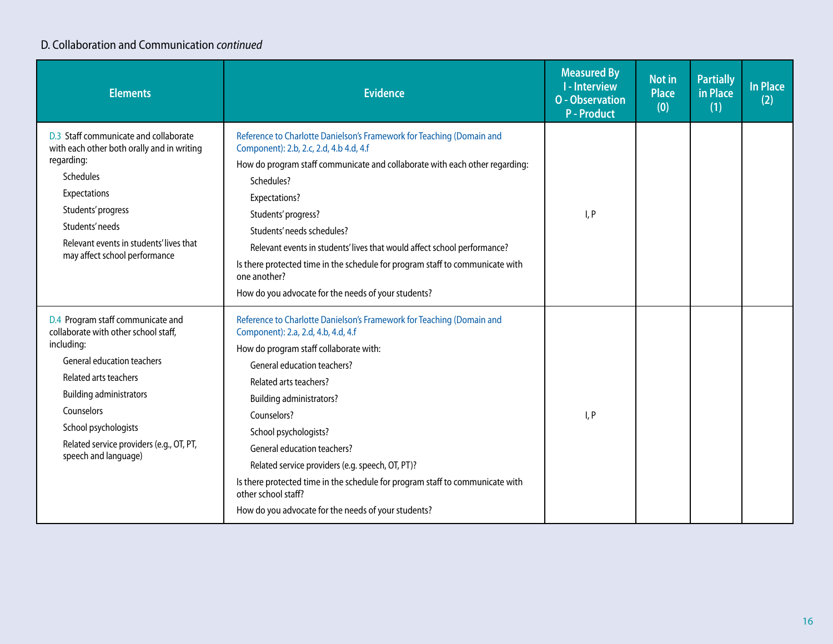#### D. Collaboration and Communication *continued*

| <b>Elements</b>                                                                                                                                                                                                                                                                                   | <b>Evidence</b>                                                                                                                                                                                                                                                                                                                                                                                                                                                                                                                              | <b>Measured By</b><br><b>I-Interview</b><br><b>O</b> - Observation<br><b>P</b> - Product | Not in<br><b>Place</b><br>(0) | <b>Partially</b><br>in Place<br>(1) | In Place<br>(2) |
|---------------------------------------------------------------------------------------------------------------------------------------------------------------------------------------------------------------------------------------------------------------------------------------------------|----------------------------------------------------------------------------------------------------------------------------------------------------------------------------------------------------------------------------------------------------------------------------------------------------------------------------------------------------------------------------------------------------------------------------------------------------------------------------------------------------------------------------------------------|------------------------------------------------------------------------------------------|-------------------------------|-------------------------------------|-----------------|
| D.3 Staff communicate and collaborate<br>with each other both orally and in writing<br>regarding:<br><b>Schedules</b><br><b>Expectations</b><br>Students' progress<br>Students' needs<br>Relevant events in students' lives that<br>may affect school performance                                 | Reference to Charlotte Danielson's Framework for Teaching (Domain and<br>Component): 2.b, 2.c, 2.d, 4.b 4.d, 4.f<br>How do program staff communicate and collaborate with each other regarding:<br>Schedules?<br>Expectations?<br>Students' progress?<br>Students' needs schedules?<br>Relevant events in students' lives that would affect school performance?<br>Is there protected time in the schedule for program staff to communicate with<br>one another?<br>How do you advocate for the needs of your students?                      | I, P                                                                                     |                               |                                     |                 |
| D.4 Program staff communicate and<br>collaborate with other school staff,<br>including:<br><b>General education teachers</b><br>Related arts teachers<br><b>Building administrators</b><br>Counselors<br>School psychologists<br>Related service providers (e.g., OT, PT,<br>speech and language) | Reference to Charlotte Danielson's Framework for Teaching (Domain and<br>Component): 2.a, 2.d, 4.b, 4.d, 4.f<br>How do program staff collaborate with:<br>General education teachers?<br>Related arts teachers?<br><b>Building administrators?</b><br>Counselors?<br>School psychologists?<br>General education teachers?<br>Related service providers (e.g. speech, OT, PT)?<br>Is there protected time in the schedule for program staff to communicate with<br>other school staff?<br>How do you advocate for the needs of your students? | I, P                                                                                     |                               |                                     |                 |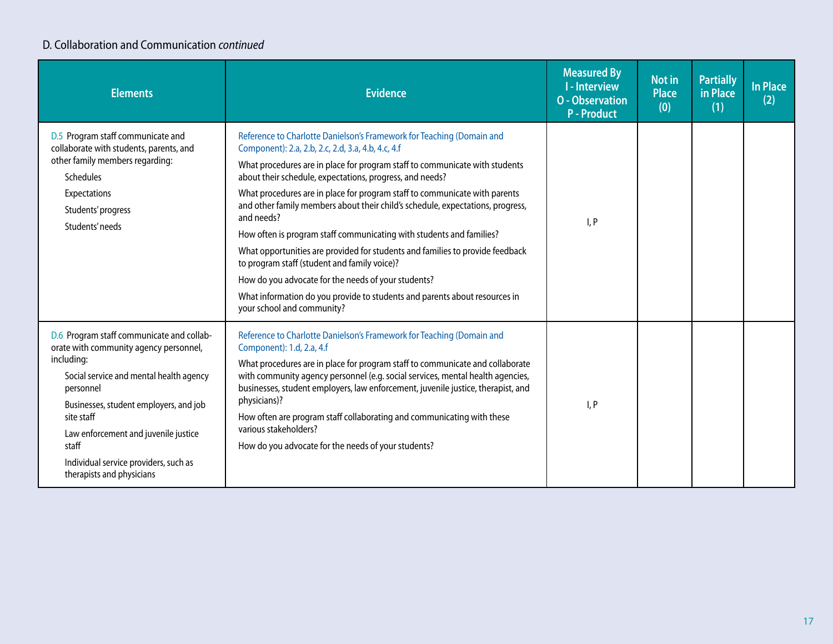#### D. Collaboration and Communication *continued*

| <b>Elements</b>                                                                                                                                                                                                                                                                                                                          | <b>Evidence</b>                                                                                                                                                                                                                                                                                                                                                                                                                                                                                                                                                                                                                                                                                                                                                                                                                  | <b>Measured By</b><br><b>I-Interview</b><br><b>O</b> - Observation<br><b>P</b> - Product | <b>Not in</b><br><b>Place</b><br>(0) | <b>Partially</b><br>in Place<br>(1) | <b>In Place</b><br>(2) |
|------------------------------------------------------------------------------------------------------------------------------------------------------------------------------------------------------------------------------------------------------------------------------------------------------------------------------------------|----------------------------------------------------------------------------------------------------------------------------------------------------------------------------------------------------------------------------------------------------------------------------------------------------------------------------------------------------------------------------------------------------------------------------------------------------------------------------------------------------------------------------------------------------------------------------------------------------------------------------------------------------------------------------------------------------------------------------------------------------------------------------------------------------------------------------------|------------------------------------------------------------------------------------------|--------------------------------------|-------------------------------------|------------------------|
| D.5 Program staff communicate and<br>collaborate with students, parents, and<br>other family members regarding:<br><b>Schedules</b><br>Expectations<br>Students' progress<br>Students' needs                                                                                                                                             | Reference to Charlotte Danielson's Framework for Teaching (Domain and<br>Component): 2.a, 2.b, 2.c, 2.d, 3.a, 4.b, 4.c, 4.f<br>What procedures are in place for program staff to communicate with students<br>about their schedule, expectations, progress, and needs?<br>What procedures are in place for program staff to communicate with parents<br>and other family members about their child's schedule, expectations, progress,<br>and needs?<br>How often is program staff communicating with students and families?<br>What opportunities are provided for students and families to provide feedback<br>to program staff (student and family voice)?<br>How do you advocate for the needs of your students?<br>What information do you provide to students and parents about resources in<br>your school and community? | I, P                                                                                     |                                      |                                     |                        |
| D.6 Program staff communicate and collab-<br>orate with community agency personnel,<br>including:<br>Social service and mental health agency<br>personnel<br>Businesses, student employers, and job<br>site staff<br>Law enforcement and juvenile justice<br>staff<br>Individual service providers, such as<br>therapists and physicians | Reference to Charlotte Danielson's Framework for Teaching (Domain and<br>Component): 1.d, 2.a, 4.f<br>What procedures are in place for program staff to communicate and collaborate<br>with community agency personnel (e.g. social services, mental health agencies,<br>businesses, student employers, law enforcement, juvenile justice, therapist, and<br>physicians)?<br>How often are program staff collaborating and communicating with these<br>various stakeholders?<br>How do you advocate for the needs of your students?                                                                                                                                                                                                                                                                                              | I, P                                                                                     |                                      |                                     |                        |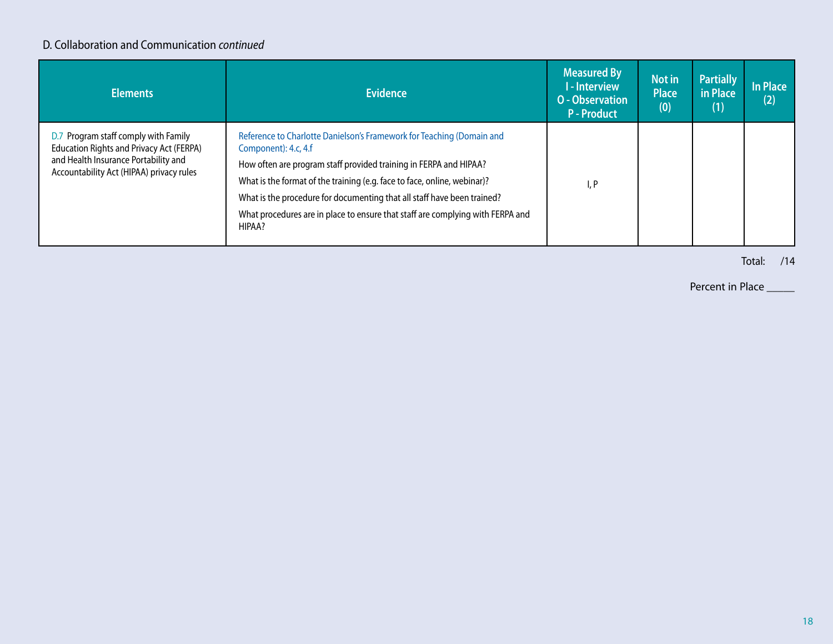#### D. Collaboration and Communication *continued*

| <b>Elements</b>                                                                                                                                                             | <b>Evidence</b>                                                                                                                                                                                                                                                                                                                                                                                                       | <b>Measured By</b><br>I - Interview<br><b>O</b> - Observation<br><b>P-Product</b> | Not in<br><b>Place</b><br>(0) | <b>Partially</b><br>in Place<br>(1) | <b>In Place</b><br>(2) |
|-----------------------------------------------------------------------------------------------------------------------------------------------------------------------------|-----------------------------------------------------------------------------------------------------------------------------------------------------------------------------------------------------------------------------------------------------------------------------------------------------------------------------------------------------------------------------------------------------------------------|-----------------------------------------------------------------------------------|-------------------------------|-------------------------------------|------------------------|
| D.7 Program staff comply with Family<br><b>Education Rights and Privacy Act (FERPA)</b><br>and Health Insurance Portability and<br>Accountability Act (HIPAA) privacy rules | Reference to Charlotte Danielson's Framework for Teaching (Domain and<br>Component): 4.c, 4.f<br>How often are program staff provided training in FERPA and HIPAA?<br>What is the format of the training (e.g. face to face, online, webinar)?<br>What is the procedure for documenting that all staff have been trained?<br>What procedures are in place to ensure that staff are complying with FERPA and<br>HIPAA? | I, P                                                                              |                               |                                     |                        |

Total: /14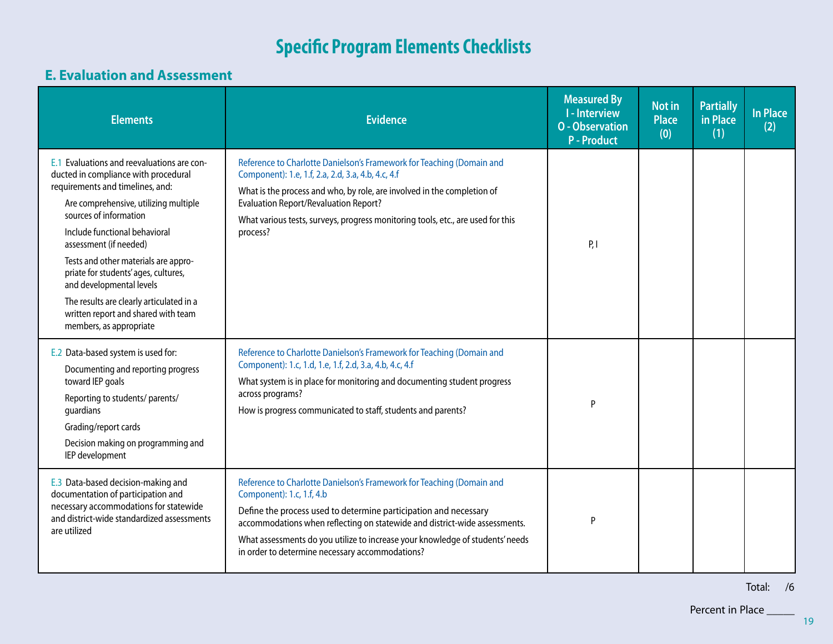#### **E. Evaluation and Assessment**

| <b>Elements</b>                                                                                                                                                                                                                                                                                                                                                                                                                                                                | <b>Evidence</b>                                                                                                                                                                                                                                                                                                                                                                          | <b>Measured By</b><br><b>I-Interview</b><br><b>O</b> - Observation<br><b>P-Product</b> | <b>Not in</b><br><b>Place</b><br>(0) | <b>Partially</b><br>in Place<br>(1) | <b>In Place</b><br>(2) |
|--------------------------------------------------------------------------------------------------------------------------------------------------------------------------------------------------------------------------------------------------------------------------------------------------------------------------------------------------------------------------------------------------------------------------------------------------------------------------------|------------------------------------------------------------------------------------------------------------------------------------------------------------------------------------------------------------------------------------------------------------------------------------------------------------------------------------------------------------------------------------------|----------------------------------------------------------------------------------------|--------------------------------------|-------------------------------------|------------------------|
| E.1 Evaluations and reevaluations are con-<br>ducted in compliance with procedural<br>requirements and timelines, and:<br>Are comprehensive, utilizing multiple<br>sources of information<br>Include functional behavioral<br>assessment (if needed)<br>Tests and other materials are appro-<br>priate for students' ages, cultures,<br>and developmental levels<br>The results are clearly articulated in a<br>written report and shared with team<br>members, as appropriate | Reference to Charlotte Danielson's Framework for Teaching (Domain and<br>Component): 1.e, 1.f, 2.a, 2.d, 3.a, 4.b, 4.c, 4.f<br>What is the process and who, by role, are involved in the completion of<br><b>Evaluation Report/Revaluation Report?</b><br>What various tests, surveys, progress monitoring tools, etc., are used for this<br>process?                                    | P, I                                                                                   |                                      |                                     |                        |
| E.2 Data-based system is used for:<br>Documenting and reporting progress<br>toward IEP goals<br>Reporting to students/ parents/<br>guardians<br>Grading/report cards<br>Decision making on programming and<br>IEP development                                                                                                                                                                                                                                                  | Reference to Charlotte Danielson's Framework for Teaching (Domain and<br>Component): 1.c, 1.d, 1.e, 1.f, 2.d, 3.a, 4.b, 4.c, 4.f<br>What system is in place for monitoring and documenting student progress<br>across programs?<br>How is progress communicated to staff, students and parents?                                                                                          | P                                                                                      |                                      |                                     |                        |
| E.3 Data-based decision-making and<br>documentation of participation and<br>necessary accommodations for statewide<br>and district-wide standardized assessments<br>are utilized                                                                                                                                                                                                                                                                                               | Reference to Charlotte Danielson's Framework for Teaching (Domain and<br>Component): 1.c, 1.f, 4.b<br>Define the process used to determine participation and necessary<br>accommodations when reflecting on statewide and district-wide assessments.<br>What assessments do you utilize to increase your knowledge of students' needs<br>in order to determine necessary accommodations? | P                                                                                      |                                      |                                     |                        |

Total: /6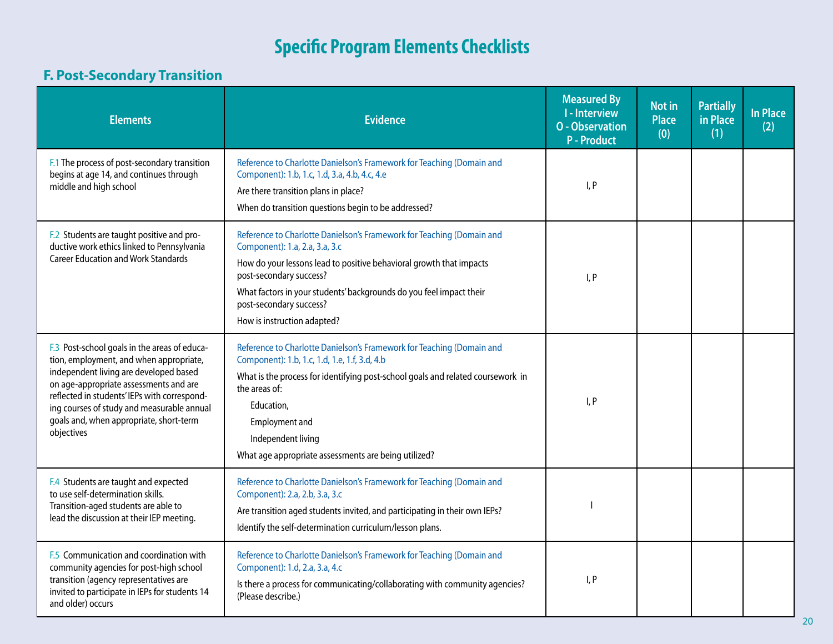### **F. Post-Secondary Transition**

| <b>Elements</b>                                                                                                                                                                                                                                                                                                                    | <b>Evidence</b>                                                                                                                                                                                                                                                                                                                            | <b>Measured By</b><br><b>I-Interview</b><br><b>O</b> - Observation<br><b>P</b> - Product | <b>Not in</b><br><b>Place</b><br>(0) | <b>Partially</b><br>in Place<br>(1) | <b>In Place</b><br>(2) |
|------------------------------------------------------------------------------------------------------------------------------------------------------------------------------------------------------------------------------------------------------------------------------------------------------------------------------------|--------------------------------------------------------------------------------------------------------------------------------------------------------------------------------------------------------------------------------------------------------------------------------------------------------------------------------------------|------------------------------------------------------------------------------------------|--------------------------------------|-------------------------------------|------------------------|
| F.1 The process of post-secondary transition<br>begins at age 14, and continues through<br>middle and high school                                                                                                                                                                                                                  | Reference to Charlotte Danielson's Framework for Teaching (Domain and<br>Component): 1.b, 1.c, 1.d, 3.a, 4.b, 4.c, 4.e<br>Are there transition plans in place?<br>When do transition questions begin to be addressed?                                                                                                                      | I, P                                                                                     |                                      |                                     |                        |
| F.2 Students are taught positive and pro-<br>ductive work ethics linked to Pennsylvania<br><b>Career Education and Work Standards</b>                                                                                                                                                                                              | Reference to Charlotte Danielson's Framework for Teaching (Domain and<br>Component): 1.a, 2.a, 3.a, 3.c<br>How do your lessons lead to positive behavioral growth that impacts<br>post-secondary success?<br>What factors in your students' backgrounds do you feel impact their<br>post-secondary success?<br>How is instruction adapted? | I, P                                                                                     |                                      |                                     |                        |
| F.3 Post-school goals in the areas of educa-<br>tion, employment, and when appropriate,<br>independent living are developed based<br>on age-appropriate assessments and are<br>reflected in students' IEPs with correspond-<br>ing courses of study and measurable annual<br>goals and, when appropriate, short-term<br>objectives | Reference to Charlotte Danielson's Framework for Teaching (Domain and<br>Component): 1.b, 1.c, 1.d, 1.e, 1.f, 3.d, 4.b<br>What is the process for identifying post-school goals and related coursework in<br>the areas of:<br>Education,<br>Employment and<br>Independent living<br>What age appropriate assessments are being utilized?   | I, P                                                                                     |                                      |                                     |                        |
| F.4 Students are taught and expected<br>to use self-determination skills.<br>Transition-aged students are able to<br>lead the discussion at their IEP meeting.                                                                                                                                                                     | Reference to Charlotte Danielson's Framework for Teaching (Domain and<br>Component): 2.a, 2.b, 3.a, 3.c<br>Are transition aged students invited, and participating in their own IEPs?<br>Identify the self-determination curriculum/lesson plans.                                                                                          |                                                                                          |                                      |                                     |                        |
| F.5 Communication and coordination with<br>community agencies for post-high school<br>transition (agency representatives are<br>invited to participate in IEPs for students 14<br>and older) occurs                                                                                                                                | Reference to Charlotte Danielson's Framework for Teaching (Domain and<br>Component): 1.d, 2.a, 3.a, 4.c<br>Is there a process for communicating/collaborating with community agencies?<br>(Please describe.)                                                                                                                               | I, P                                                                                     |                                      |                                     |                        |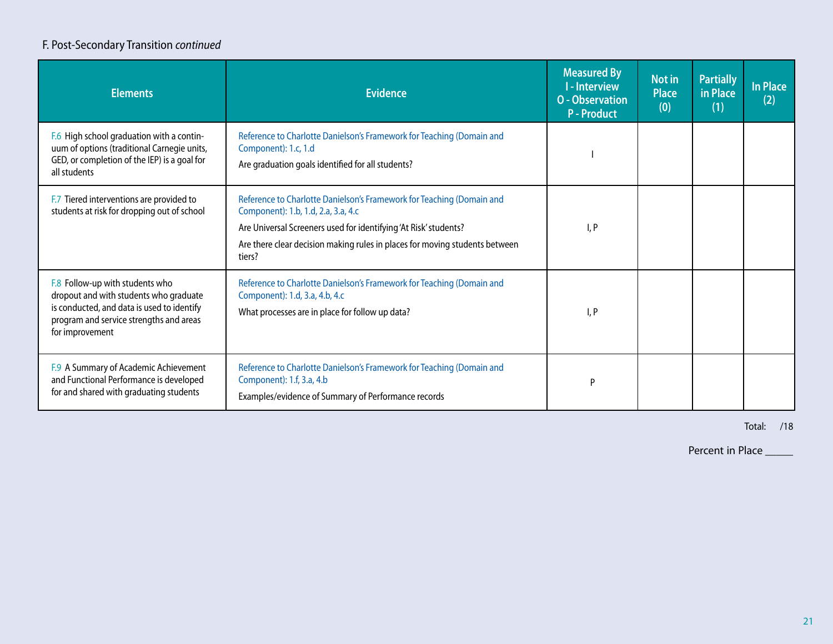#### F. Post-Secondary Transition *continued*

| <b>Elements</b>                                                                                                                                                                       | <b>Evidence</b>                                                                                                                                                                                                                                                           | <b>Measured By</b><br>I - Interview<br><b>O</b> - Observation<br><b>P-Product</b> | Not in<br><b>Place</b><br>(0) | <b>Partially</b><br>in Place<br>(1) | In Place<br>(2) |
|---------------------------------------------------------------------------------------------------------------------------------------------------------------------------------------|---------------------------------------------------------------------------------------------------------------------------------------------------------------------------------------------------------------------------------------------------------------------------|-----------------------------------------------------------------------------------|-------------------------------|-------------------------------------|-----------------|
| F.6 High school graduation with a contin-<br>uum of options (traditional Carnegie units,<br>GED, or completion of the IEP) is a goal for<br>all students                              | Reference to Charlotte Danielson's Framework for Teaching (Domain and<br>Component): 1.c, 1.d<br>Are graduation goals identified for all students?                                                                                                                        |                                                                                   |                               |                                     |                 |
| F.7 Tiered interventions are provided to<br>students at risk for dropping out of school                                                                                               | Reference to Charlotte Danielson's Framework for Teaching (Domain and<br>Component): 1.b, 1.d, 2.a, 3.a, 4.c<br>Are Universal Screeners used for identifying 'At Risk' students?<br>Are there clear decision making rules in places for moving students between<br>tiers? | I, P                                                                              |                               |                                     |                 |
| F.8 Follow-up with students who<br>dropout and with students who graduate<br>is conducted, and data is used to identify<br>program and service strengths and areas<br>for improvement | Reference to Charlotte Danielson's Framework for Teaching (Domain and<br>Component): 1.d, 3.a, 4.b, 4.c<br>What processes are in place for follow up data?                                                                                                                | I, P                                                                              |                               |                                     |                 |
| F.9 A Summary of Academic Achievement<br>and Functional Performance is developed<br>for and shared with graduating students                                                           | Reference to Charlotte Danielson's Framework for Teaching (Domain and<br>Component): 1.f, 3.a, 4.b<br>Examples/evidence of Summary of Performance records                                                                                                                 | P                                                                                 |                               |                                     |                 |

Total: /18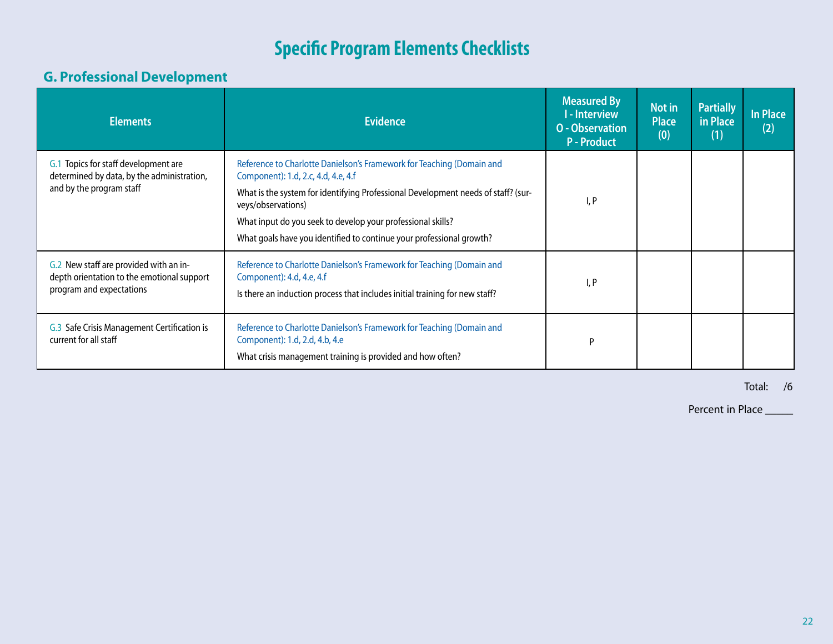#### **G. Professional Development**

| <b>Elements</b>                                                                                                  | <b>Evidence</b>                                                                                                                                                                                                                                                                                                                                                | <b>Measured By</b><br><b>I-Interview</b><br><b>O</b> - Observation<br><b>P-Product</b> | Not in<br><b>Place</b><br>(0) | <b>Partially</b><br>in Place<br>(1) | <b>In Place</b><br>(2) |
|------------------------------------------------------------------------------------------------------------------|----------------------------------------------------------------------------------------------------------------------------------------------------------------------------------------------------------------------------------------------------------------------------------------------------------------------------------------------------------------|----------------------------------------------------------------------------------------|-------------------------------|-------------------------------------|------------------------|
| G.1 Topics for staff development are<br>determined by data, by the administration,<br>and by the program staff   | Reference to Charlotte Danielson's Framework for Teaching (Domain and<br>Component): 1.d, 2.c, 4.d, 4.e, 4.f<br>What is the system for identifying Professional Development needs of staff? (sur-<br>veys/observations)<br>What input do you seek to develop your professional skills?<br>What goals have you identified to continue your professional growth? | I, P                                                                                   |                               |                                     |                        |
| G.2 New staff are provided with an in-<br>depth orientation to the emotional support<br>program and expectations | Reference to Charlotte Danielson's Framework for Teaching (Domain and<br>Component): 4.d, 4.e, 4.f<br>Is there an induction process that includes initial training for new staff?                                                                                                                                                                              | I, P                                                                                   |                               |                                     |                        |
| G.3 Safe Crisis Management Certification is<br>current for all staff                                             | Reference to Charlotte Danielson's Framework for Teaching (Domain and<br>Component): 1.d, 2.d, 4.b, 4.e<br>What crisis management training is provided and how often?                                                                                                                                                                                          | P                                                                                      |                               |                                     |                        |

Total: /6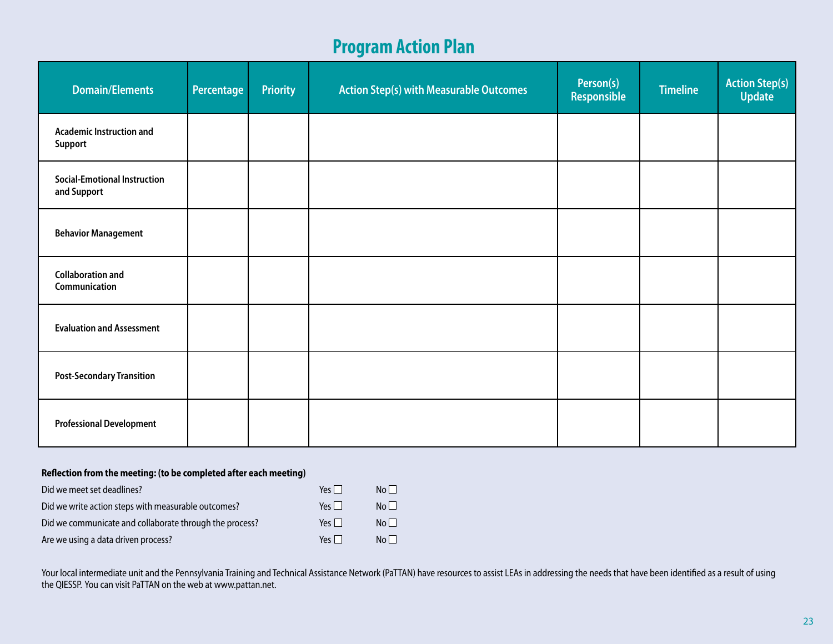# **Program Action Plan**

| <b>Domain/Elements</b>                             | Percentage | <b>Priority</b> | <b>Action Step(s) with Measurable Outcomes</b> | Person(s)<br>Responsible | <b>Timeline</b> | <b>Action Step(s)</b><br>Update |
|----------------------------------------------------|------------|-----------------|------------------------------------------------|--------------------------|-----------------|---------------------------------|
| <b>Academic Instruction and</b><br>Support         |            |                 |                                                |                          |                 |                                 |
| <b>Social-Emotional Instruction</b><br>and Support |            |                 |                                                |                          |                 |                                 |
| <b>Behavior Management</b>                         |            |                 |                                                |                          |                 |                                 |
| <b>Collaboration and</b><br>Communication          |            |                 |                                                |                          |                 |                                 |
| <b>Evaluation and Assessment</b>                   |            |                 |                                                |                          |                 |                                 |
| <b>Post-Secondary Transition</b>                   |            |                 |                                                |                          |                 |                                 |
| <b>Professional Development</b>                    |            |                 |                                                |                          |                 |                                 |

#### **Reflection from the meeting: (to be completed after each meeting)**

| Did we meet set deadlines?                              | $Yes \mid \mid$ | Nol I           |
|---------------------------------------------------------|-----------------|-----------------|
| Did we write action steps with measurable outcomes?     | $Yes \Box$      | $N_0$           |
| Did we communicate and collaborate through the process? | Yes $\Box$      | N <sub>0</sub>  |
| Are we using a data driven process?                     | Yes $\Box$      | No <sub>1</sub> |

Your local intermediate unit and the Pennsylvania Training and Technical Assistance Network (PaTTAN) have resources to assist LEAs in addressing the needs that have been identified as a result of using the QIESSP. You can visit PaTTAN on the web at <www.pattan.net>.